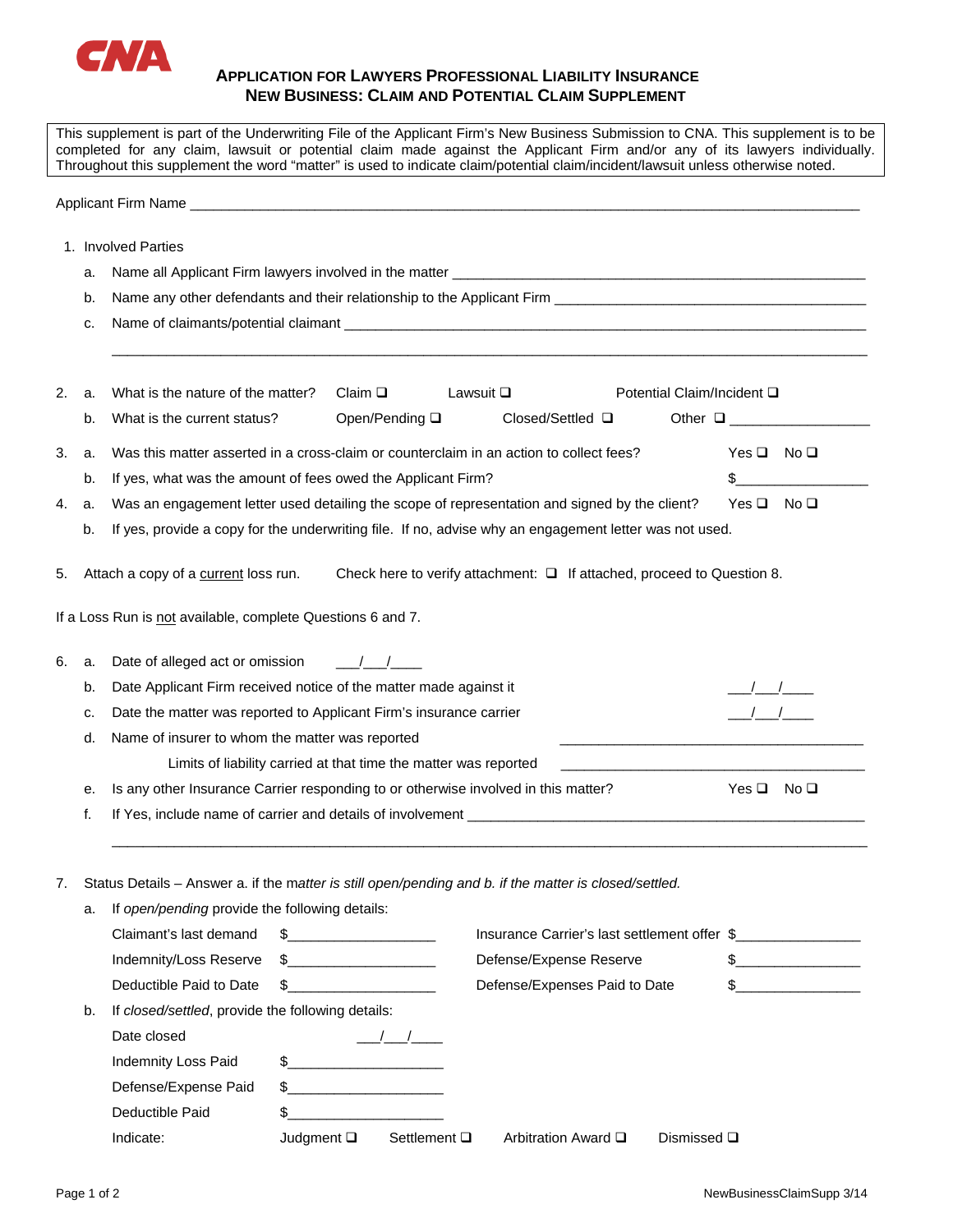

## **APPLICATION FOR LAWYERS PROFESSIONAL LIABILITY INSURANCE NEW BUSINESS: CLAIM AND POTENTIAL CLAIM SUPPLEMENT**

This supplement is part of the Underwriting File of the Applicant Firm's New Business Submission to CNA. This supplement is to be completed for any claim, lawsuit or potential claim made against the Applicant Firm and/or any of its lawyers individually. Throughout this supplement the word "matter" is used to indicate claim/potential claim/incident/lawsuit unless otherwise noted.

Applicant Firm Name \_\_\_\_\_\_\_\_\_\_\_\_\_\_\_\_\_\_\_\_\_\_\_\_\_\_\_\_\_\_\_\_\_\_\_\_\_\_\_\_\_\_\_\_\_\_\_\_\_\_\_\_\_\_\_\_\_\_\_\_\_\_\_\_\_\_\_\_\_\_\_\_\_\_\_\_\_\_\_\_\_\_\_\_\_\_

|    | a.                                                               | Name all Applicant Firm lawyers involved in the matter _                                                            |                                                                                                          |                   |                                                                        |                            |  |  |
|----|------------------------------------------------------------------|---------------------------------------------------------------------------------------------------------------------|----------------------------------------------------------------------------------------------------------|-------------------|------------------------------------------------------------------------|----------------------------|--|--|
|    | b.                                                               |                                                                                                                     |                                                                                                          |                   |                                                                        |                            |  |  |
|    | c.                                                               |                                                                                                                     |                                                                                                          |                   |                                                                        |                            |  |  |
| 2. | a.                                                               | What is the nature of the matter?                                                                                   | Claim $\square$                                                                                          | Lawsuit $\square$ |                                                                        | Potential Claim/Incident □ |  |  |
|    | b.                                                               | What is the current status?                                                                                         | Open/Pending □                                                                                           |                   | Closed/Settled $\square$                                               | Other $\square$            |  |  |
|    |                                                                  |                                                                                                                     |                                                                                                          |                   |                                                                        | $Yes \Box No \Box$         |  |  |
| З. | a.                                                               |                                                                                                                     | Was this matter asserted in a cross-claim or counterclaim in an action to collect fees?                  |                   |                                                                        |                            |  |  |
|    | b.                                                               |                                                                                                                     | If yes, what was the amount of fees owed the Applicant Firm?                                             |                   |                                                                        |                            |  |  |
| 4. | a.                                                               | Was an engagement letter used detailing the scope of representation and signed by the client?<br>$Yes \Box No \Box$ |                                                                                                          |                   |                                                                        |                            |  |  |
|    | b.                                                               | If yes, provide a copy for the underwriting file. If no, advise why an engagement letter was not used.              |                                                                                                          |                   |                                                                        |                            |  |  |
| 5. |                                                                  | Attach a copy of a current loss run.                                                                                |                                                                                                          |                   | Check here to verify attachment: □ If attached, proceed to Question 8. |                            |  |  |
|    |                                                                  |                                                                                                                     |                                                                                                          |                   |                                                                        |                            |  |  |
|    |                                                                  | If a Loss Run is not available, complete Questions 6 and 7.                                                         |                                                                                                          |                   |                                                                        |                            |  |  |
|    |                                                                  |                                                                                                                     |                                                                                                          |                   |                                                                        |                            |  |  |
| 6. | a.                                                               | Date of alleged act or omission<br>$\frac{1}{2}$                                                                    |                                                                                                          |                   |                                                                        |                            |  |  |
|    | b.                                                               | Date Applicant Firm received notice of the matter made against it                                                   |                                                                                                          |                   |                                                                        |                            |  |  |
|    | c.                                                               |                                                                                                                     | Date the matter was reported to Applicant Firm's insurance carrier                                       |                   |                                                                        |                            |  |  |
|    | d.                                                               | Name of insurer to whom the matter was reported                                                                     |                                                                                                          |                   |                                                                        |                            |  |  |
|    | Limits of liability carried at that time the matter was reported |                                                                                                                     |                                                                                                          |                   |                                                                        |                            |  |  |
|    | е.                                                               |                                                                                                                     | $Yes \Box No \Box$<br>Is any other Insurance Carrier responding to or otherwise involved in this matter? |                   |                                                                        |                            |  |  |
|    | f.                                                               |                                                                                                                     |                                                                                                          |                   |                                                                        |                            |  |  |
|    |                                                                  |                                                                                                                     |                                                                                                          |                   |                                                                        |                            |  |  |
|    |                                                                  |                                                                                                                     |                                                                                                          |                   |                                                                        |                            |  |  |
| 7. |                                                                  | Status Details - Answer a. if the matter is still open/pending and b. if the matter is closed/settled.              |                                                                                                          |                   |                                                                        |                            |  |  |
|    |                                                                  | a. If open/pending provide the following details:                                                                   |                                                                                                          |                   |                                                                        |                            |  |  |
|    |                                                                  | Claimant's last demand                                                                                              | $\frac{1}{2}$                                                                                            |                   | Insurance Carrier's last settlement offer \$                           |                            |  |  |
|    |                                                                  | Indemnity/Loss Reserve                                                                                              | $\frac{1}{2}$                                                                                            |                   | Defense/Expense Reserve                                                | $\frac{1}{2}$              |  |  |
|    |                                                                  | Deductible Paid to Date<br>\$                                                                                       |                                                                                                          |                   | Defense/Expenses Paid to Date                                          | $\mathbb S$                |  |  |
|    | b.                                                               | If closed/settled, provide the following details:                                                                   |                                                                                                          |                   |                                                                        |                            |  |  |
|    |                                                                  | Date closed                                                                                                         | $\frac{1}{2}$                                                                                            |                   |                                                                        |                            |  |  |
|    |                                                                  |                                                                                                                     |                                                                                                          |                   |                                                                        |                            |  |  |
|    |                                                                  | <b>Indemnity Loss Paid</b>                                                                                          |                                                                                                          |                   |                                                                        |                            |  |  |
|    |                                                                  | Defense/Expense Paid<br>\$                                                                                          | <u> 1990 - Johann Barbara, martin a</u>                                                                  |                   |                                                                        |                            |  |  |
|    |                                                                  | Deductible Paid<br>\$                                                                                               |                                                                                                          |                   |                                                                        |                            |  |  |